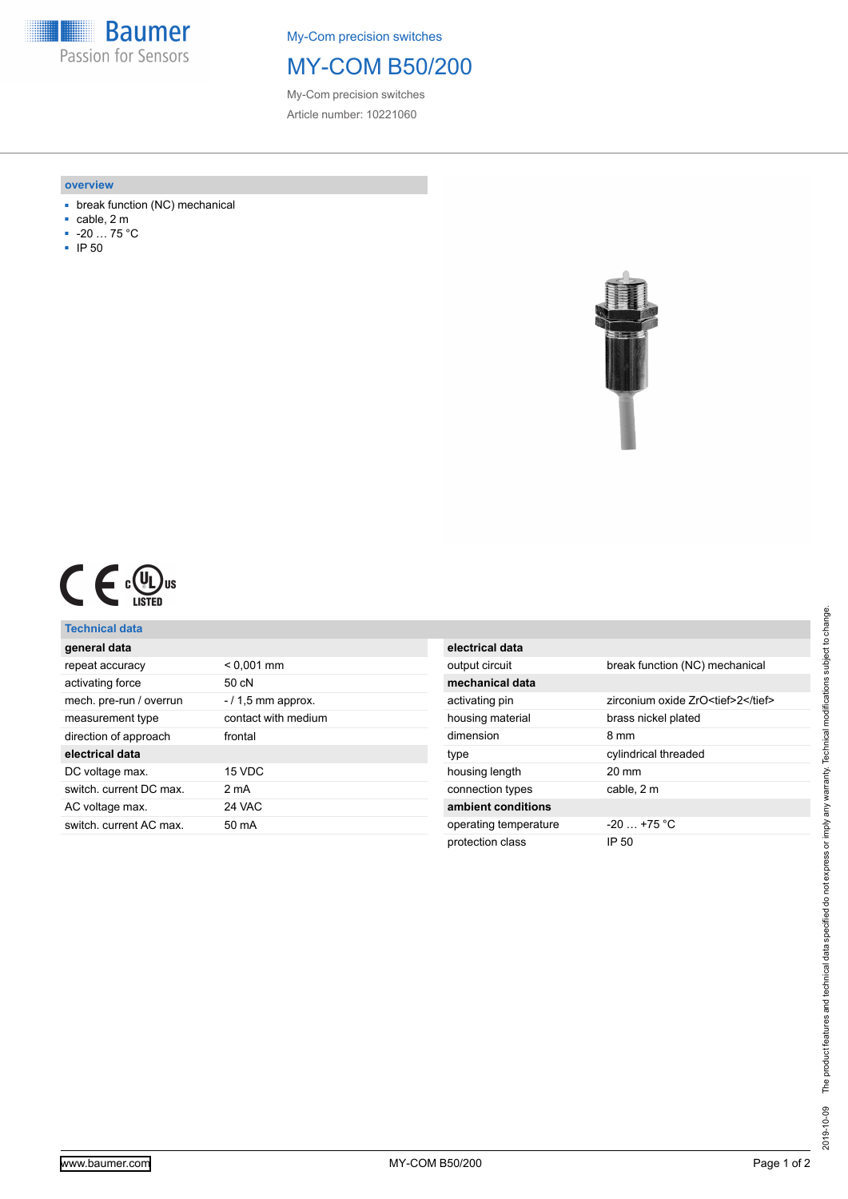**Baumer** Passion for Sensors

My-Com precision switches

## MY-COM B50/200

My-Com precision switches Article number: 10221060

#### **overview**

- break function (NC) mechanical
- cable, 2 m
- $-20$  … 75 °C
- IP 50





### **Technical data**

| general data            |                      |
|-------------------------|----------------------|
| repeat accuracy         | $< 0.001$ mm         |
| activating force        | 50 cN                |
| mech. pre-run / overrun | $-$ / 1.5 mm approx. |
| measurement type        | contact with medium  |
| direction of approach   | frontal              |
| electrical data         |                      |
| DC voltage max.         | 15 VDC               |
| switch, current DC max. | 2 <sub>m</sub> A     |
| AC voltage max.         | 24 VAC               |
| switch, current AC max. | 50 mA                |
|                         |                      |

| electrical data       |                                    |
|-----------------------|------------------------------------|
| output circuit        | break function (NC) mechanical     |
| mechanical data       |                                    |
| activating pin        | zirconium oxide ZrO <tief>2</tief> |
| housing material      | brass nickel plated                |
| dimension             | 8 mm                               |
| type                  | cylindrical threaded               |
| housing length        | $20 \text{ mm}$                    |
| connection types      | cable, 2 m                         |
| ambient conditions    |                                    |
| operating temperature | $-20$ $+75$ °C                     |
| protection class      | IP 50                              |